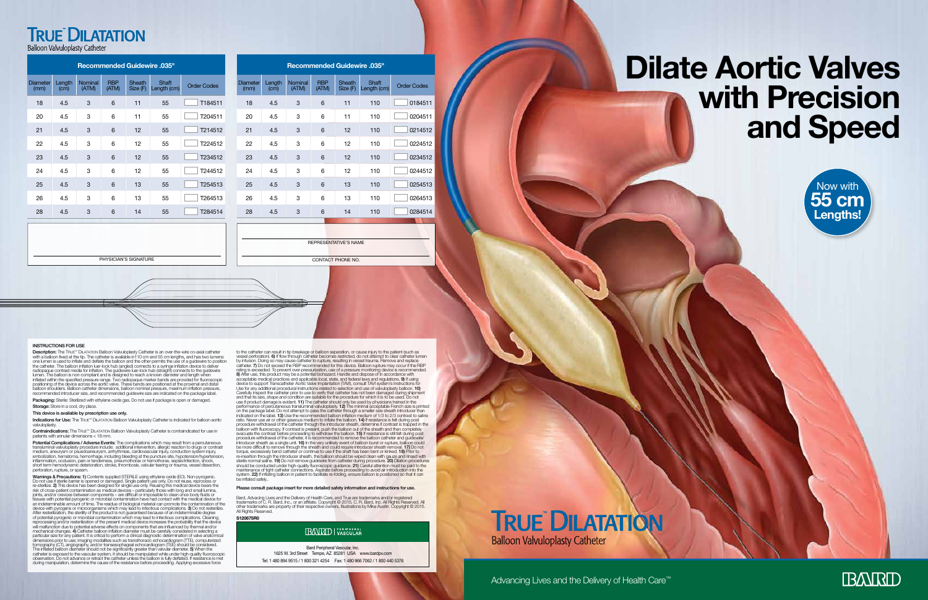### **TRUE DILATATION**

**Balloon Valvuloplasty Catheter** 

#### Advancing Lives and the Delivery of Health Care™

Bard Peripheral Vascular, Inc. 1625 W. 3rd Street Tempe, AZ 85281 USA www.bardpv.com Tel: 1 480 894 9515 / 1 800 321 4254 Fax: 1 480 966 7062 / 1 800 440 5376 **TRUE DILATATION Balloon Valvuloplasty Catheter** 

#### INSTRUCTIONS FOR USE

Description: The TRUE™ DILATATION Balloon Valvuloplasty Catheter is an over-the-wire co-axial catheter with a balloon fixed at the tip. The catheter is available in 10 om and 55 cm lengths, and has two lumens:<br>one lumen is used to inflate and deflate the balloon and the other permits the use of a guidewire to position<br>the c balloon shoulders. Balloon catheter dimensions, balloon nominal pressure, maximum inflation pressure, recommended introducer size, and recommended guidewire size are indicated on the package label.

Packaging: Sterile: Sterilized with ethylene oxide gas. Do not use if package is open or damaged. Storage: Store in a cool, dry place.

Indications for Use: The TRUE™ DILATATION Balloon Valvuloplasty Catheter is indicated for balloon aortic valvuloplasty.

Contraindications: The TRUE™ DILATATION Balloon Valvuloplasty Catheter is contraindicated for use in patients with annular dimensions < 18 mm.

Potential Complications / Adverse Events: The complications which may result from a percutaneous transluminal valvuloplasty procedure include: additional intervention, allergic reaction to drugs or contrast<br>medium, aneurysm or psuedoaneurysm, arrhythmias, cardiovascular injury, conduction system injury,<br>embolization, inflammation, occlusion, pain or tenderness, pneumothorax or hemothorax, sepsis/infection, shock, short term hemodynamic deterioration, stroke, thrombosis, valvular tearing or trauma, vessel dissection, perforation, rupture, or spasm.

#### This device is available by prescription use only.

Warnings & Precautions: 1) Contents supplied STERIL E using ethylene oxide (EO). Non-pyrogenic. Do not use if sterile barrier is opened or damaged. Single patient use only. Do not reuse, reprocess or<br>re-sterilize. 2) This device has been designed for single use only. Reusing this medical device bears the<br>risk of cros joints, and/or crevices between components – are difficult or impossible to clean once body fluids or<br>tissues with potential pyrogenic or microbial contamination have had contact with the medical device for<br>an indeterminab device with pyrogens or microorganisms which may lead to infectious complications. 3) Do not resterilize.<br>After resterilization, the sterility of the product is not guaranteed because of an indeterminable degree<br>of potenti will malfunction due to potential adverse effects on components that are influenced by thermal and/or<br>mechanical changes. 4) Catheter balloon inflation dianeter must be carefully considered in selecting a<br>particular size f dimensions prior to use; imaging modalities such as transthoracic echocardiogram (TTE), computerized tomography (CT), angiography, and/or transesophageal echocardiogram (TEE) should be considered.<br>The inflated balloon diameter should not be significantly greater than valvular diameter. **5)** When the<br>catheter is exposed to observation. Do not advance or retract the catheter unless the balloon is fully deflated. If resistance is met during manipulation, determine the cause of the resistance before proceeding. Applying excessive force

to the catheter can result in tip breakage or balloon separation, or cause injury to the patient (such as vessel perforation). 6) If flow through catheter becomes restricted, do not attempt to clear catheter lumen<br>by infusion. Doing so may cause catheter to rupture, resulting in vessel trauma. Remove and replace<br>catheter. 7) D rating is exceeded. To prevent over-pressurization, use of a pressure monitoring device is recommended.<br>**8) A**fter use, this product may be a potential biohazard. Handle and dispose of in accordance with<br>acceptable medical Use for any additional procedural instructions related to selection and use of valvuloplasty balloon. 10) Carefully inspect the catheter prior to use to verify that catheter has not been damaged during shipment<br>and that its size, shape and condition are suitable for the procedure for which it is to be used. Do not<br>use if produ performance of percutaneous transluminal valvuloplasty. 12) The minimal acceptable French size is printed on the package label. Do not attempt to pass the catherer through a smaller size shealth introducer than indicated o procedure withdrawal of the catheter, it is recommended to remove the balloon catheter and guidewire/ introducer sheath as a single unit. **16)** In the very unlikely event of balloon burst or rupture, balloon could<br>be more difficult to remove through the sheath and could require introducer sheath removal. **17)** Do not<br>torqu re-insertion through the introducer sheath, the balloon should be wiped clean with gauze and rinsed with<br>sterile normal saline. 19) Do not remove guidewire from catheter during procedure. 20) Dilation procedures<br>should be maintenance of tight catheter connections. Aspirate before proceeding to avoid air introduction into the system. **22)** If inflating balloon in patient to facilitate re-folding, ensure balloon is positioned so that it can<br>be inflated safely..

Bard, Advacing Lives and the Delivery of Health Care, and True are trademarks and/or registered<br>trademarks of C. R. Bard, Inc., or an affiliate. Copyright © 2015, C. R. Bard, Inc. All Rights Reserved. Al other trademarks are property of their respective owners. Illustrations by Mike Austin. Copyright © 2015<br>All Rights Reserved. **S120675R0**

#### **IBANRID** PERIPHERAL

#### Please consult package insert for more detailed safety information and instructions for use.

## **Dilate Aortic Valves with Precision and Speed**

| Recommended Guidewire .035" |
|-----------------------------|
|-----------------------------|

| <b>Diameter</b><br>(mm) | Length<br>(cm) | Nominal<br>(ATM) | <b>RBP</b><br>(ATM) | Sheath<br>Size (F) | <b>Shaft</b><br>Length (cm) | <b>Order Codes</b> |
|-------------------------|----------------|------------------|---------------------|--------------------|-----------------------------|--------------------|
| 18                      | 4.5            | 3                | 6                   | 11                 | 110                         | 0184511            |
| 20                      | 4.5            | 3                | 6                   | 11                 | 110                         | 0204511            |
| 21                      | 4.5            | 3                | 6                   | 12                 | 110                         | 0214512            |
| 22                      | 4.5            | 3                | 6                   | 12                 | 110                         | 0224512            |
| 23                      | 4.5            | 3                | 6                   | 12                 | 110                         | 0234512            |
| 24                      | 4.5            | 3                | 6                   | 12                 | 110                         | 0244512            |
| 25                      | 4.5            | 3                | 6                   | 13                 | 110                         | 0254513            |
| 26                      | 4.5            | 3                | 6                   | 13                 | 110                         | 0264513            |
| 28                      | 4.5            | 3                | 6                   | 14                 | 110                         | 0284514            |
|                         |                |                  |                     |                    |                             |                    |

| <b>Recommended Guidewire .035"</b> |                |                  |                     |                    |                      |                    |  |  |  |
|------------------------------------|----------------|------------------|---------------------|--------------------|----------------------|--------------------|--|--|--|
| Diameter<br>(mm)                   | Length<br>(cm) | Nominal<br>(ATM) | <b>RBP</b><br>(ATM) | Sheath<br>Size (F) | Shaft<br>Length (cm) | <b>Order Codes</b> |  |  |  |
| 18                                 | 4.5            | 3                | 6                   | 11                 | 55                   | T184511            |  |  |  |
| 20                                 | 4.5            | 3                | 6                   | 11                 | 55                   | T204511            |  |  |  |
| 21                                 | 4.5            | 3                | 6                   | 12                 | 55                   | T214512            |  |  |  |
| 22                                 | 4.5            | 3                | 6                   | 12                 | 55                   | T224512            |  |  |  |
| 23                                 | 4.5            | 3                | 6                   | 12                 | 55                   | T234512            |  |  |  |
| 24                                 | 4.5            | 3                | 6                   | 12                 | 55                   | T244512            |  |  |  |
| 25                                 | 4.5            | 3                | 6                   | 13                 | 55                   | T254513            |  |  |  |
| 26                                 | 4.5            | 3                | 6                   | 13                 | 55                   | T264513            |  |  |  |
| 28                                 | 4.5            | 3                | 6                   | 14                 | 55                   | T284514            |  |  |  |

CONTACT PHONE NO.

REPRESENTATIVE'S NAME

PHYSICIAN'S SIGNATURE